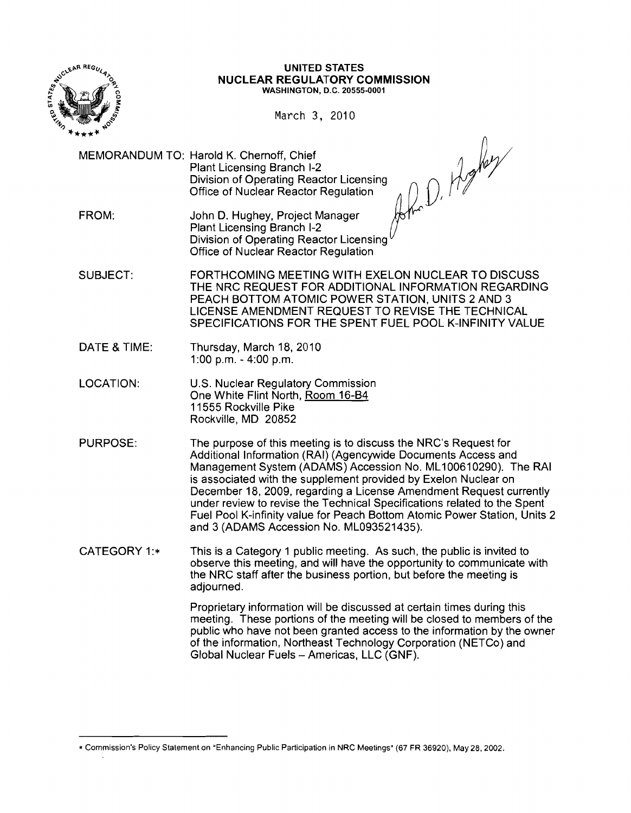

#### UNITED STATES NUCLEAR REGULATORY COMMISSION WASHINGTON, D.C. 20555-0001

March 3, 2010

MEMORANDUM TO: Harold K. Chernoff, Chief Plant Licensing Branch I-2<br>Division of Operating Reactor Licensing **Office of Nuclear Reactor Regulation** 

John D. Hopey

- FROM: John D. Hughey, Project Manager Plant Licensing Branch 1-2 Division of Operating Reactor Licensing Office of Nuclear Reactor Regulation
- SUBJECT: FORTHCOMING MEETING WITH EXELON NUCLEAR TO DISCUSS THE NRC REQUEST FOR ADDITIONAL INFORMATION REGARDING PEACH BOTTOM ATOMIC POWER STATION, UNITS 2 AND 3 LICENSE AMENDMENT REQUEST TO REVISE THE TECHNICAL SPECIFICATIONS FOR THE SPENT FUEL POOL K-INFINITY VALUE
- DATE & TIME: Thursday, March 18, 2010 1:00 p.m. - 4:00 p.m.
- LOCATION: U.S. Nuclear Regulatory Commission One White Flint North, Room 16-B4 11555 Rockville Pike Rockville, MD 20852
- PURPOSE: The purpose of this meeting is to discuss the NRC's Request for Additional Information (RAI) (Agencywide Documents Access and Management System (ADAMS) Accession No. ML100610290). The RAI is associated with the supplement provided by Exelon Nuclear on December 18, 2009, regarding a License Amendment Request currently under review to revise the Technical Specifications related to the Spent Fuel Pool K-infinity value for Peach Bottom Atomic Power Station, Units 2 and 3 (ADAMS Accession No. ML093521435).
- CATEGORY 1: $\ast$  This is a Category 1 public meeting. As such, the public is invited to observe this meeting, and will have the opportunity to communicate with the NRC staff after the business portion, but before the meeting is adjourned.

Proprietary information will be discussed at certain times during this meeting. These portions of the meeting will be closed to members of the public who have not been granted access to the information by the owner of the information, Northeast Technology Corporation (NETCo) and Global Nuclear Fuels - Americas, LLC (GNF).

<sup>•</sup> Commission's Policy Statement on "Enhancing Public Participation in NRC Meetings" (67 FR 36920), May 28,2002.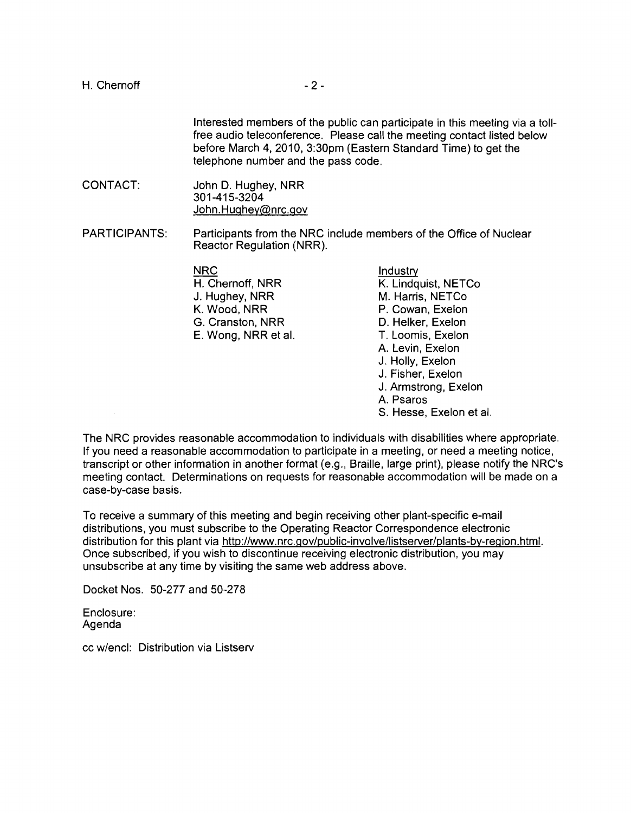Interested members of the public can participate in this meeting via a tollfree audio teleconference. Please call the meeting contact listed below before March 4, 2010, 3:30pm (Eastern Standard Time) to get the telephone number and the pass code.

CONTACT: John D. Hughey, NRR 301-415-3204 John.Hughey@nrc.gov

PARTICIPANTS: Participants from the NRC include members of the Office of Nuclear Reactor Regulation (NRR).

> NRC Industry J. Hughey, NRR M. Harris, NETCo G. Cranston, NRR D. Helker, Exelon E. Wong, NRR et al. T. Loomis, Exelon

H. Chernoff, NRR K. Lindquist, NETCo P. Cowan, Exelon A. Levin, Exelon J. Holly, Exelon J. Fisher, Exelon J. Armstrong, Exelon A. Psaros S. Hesse, Exelon et al.

The NRC provides reasonable accommodation to individuals with disabilities where appropriate. If you need a reasonable accommodation to participate in a meeting, or need a meeting notice, transcript or other information in another format (e.g., Braille, large print), please notify the NRC's meeting contact. Determinations on requests for reasonable accommodation will be made on a case-by-case basis.

To receive a summary of this meeting and begin receiving other plant-specific e-mail distributions, you must subscribe to the Operating Reactor Correspondence electronic distribution for this plant via http://www.nrc.gov/public-involve/listserver/plants-by-region.html. Once subscribed, if you wish to discontinue receiving electronic distribution, you may unsubscribe at any time by visiting the same web address above.

Docket Nos. 50-277 and 50-278

Enclosure: Agenda

 $\sim$ 

cc w/encl: Distribution via Listserv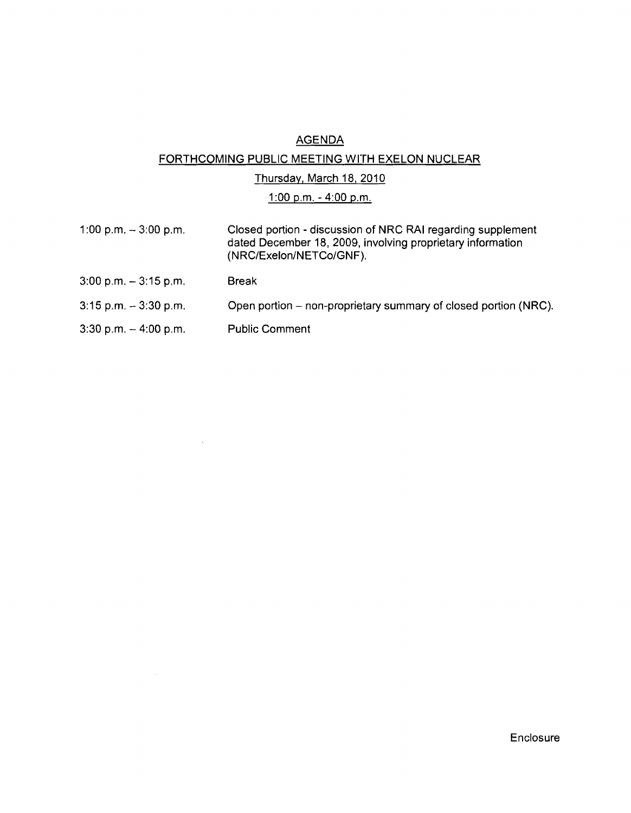# AGENDA

## FORTHCOMING PUBLIC MEETING WITH EXELON NUCLEAR

### Thursday. March 18. 2010

## 1:00 p.m. - 4:00 p.m.

- 1:00 p.m. 3:00 p.m. Closed portion discussion of NRC RAI regarding supplement dated December 18, 2009, involving proprietary information (NRC/Exelon/NETCo/GNF).
- 3:00 p.m. 3:15 p.m. Break
- 3:15 p.m. 3:30 p.m. Open portion non-proprietary summary of closed portion (NRC).
- 3:30 p.m. 4:00 p.m. Public Comment